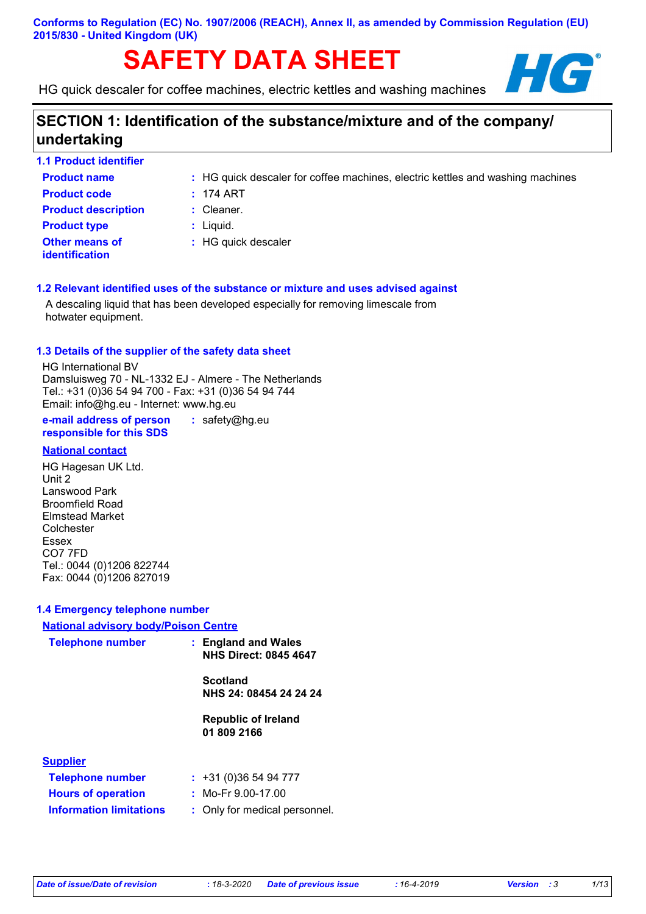# **SAFETY DATA SHEET HIGHLIGHT**

HG quick descaler for coffee machines, electric kettles and washing machines



## **SECTION 1: Identification of the substance/mixture and of the company/ undertaking**

| <b>1.1 Product identifier</b>                  |                                                                                |
|------------------------------------------------|--------------------------------------------------------------------------------|
| <b>Product name</b>                            | : HG quick descaler for coffee machines, electric kettles and washing machines |
| <b>Product code</b>                            | $: 174$ ART                                                                    |
| <b>Product description</b>                     | $:$ Cleaner.                                                                   |
| <b>Product type</b>                            | $:$ Liquid.                                                                    |
| <b>Other means of</b><br><i>identification</i> | : HG quick descaler                                                            |

#### **1.2 Relevant identified uses of the substance or mixture and uses advised against**

A descaling liquid that has been developed especially for removing limescale from hotwater equipment.

#### **1.3 Details of the supplier of the safety data sheet**

HG International BV Damsluisweg 70 - NL-1332 EJ - Almere - The Netherlands Tel.: +31 (0)36 54 94 700 - Fax: +31 (0)36 54 94 744 Email: info@hg.eu - Internet: www.hg.eu

**e-mail address of person responsible for this SDS :** safety@hg.eu

#### **National contact**

HG Hagesan UK Ltd. Unit 2 Lanswood Park Broomfield Road Elmstead Market Colchester Essex CO7 7FD Tel.: 0044 (0)1206 822744 Fax: 0044 (0)1206 827019

#### **1.4 Emergency telephone number**

#### **National advisory body/Poison Centre**

| <b>Telephone number</b>        | : England and Wales<br><b>NHS Direct: 0845 4647</b> |
|--------------------------------|-----------------------------------------------------|
|                                | <b>Scotland</b><br>NHS 24: 08454 24 24 24           |
|                                | <b>Republic of Ireland</b><br>01 809 2166           |
| <b>Supplier</b>                |                                                     |
| <b>Telephone number</b>        | $: +31(0)365494777$                                 |
| <b>Hours of operation</b>      | : Mo-Fr $9.00-17.00$                                |
| <b>Information limitations</b> | : Only for medical personnel.                       |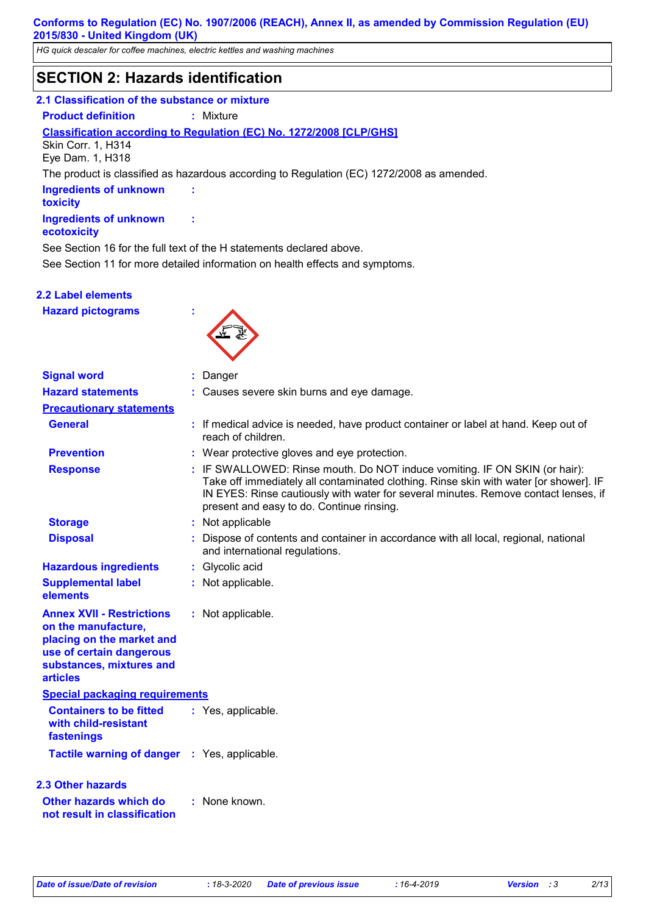*HG quick descaler for coffee machines, electric kettles and washing machines*

## **SECTION 2: Hazards identification**

#### **2.1 Classification of the substance or mixture**

**Product definition :** Mixture

## **Classification according to Regulation (EC) No. 1272/2008 [CLP/GHS]**

Skin Corr. 1, H314 Eye Dam. 1, H318

The product is classified as hazardous according to Regulation (EC) 1272/2008 as amended.

**Ingredients of unknown toxicity Ingredients of unknown** 

#### **ecotoxicity**

See Section 16 for the full text of the H statements declared above.

**:**

**:**

See Section 11 for more detailed information on health effects and symptoms.

#### **2.2 Label elements**

**Hazard pictograms :**



| <b>Signal word</b>                                                                                                                                              | : Danger                                                                                                                                                                                                                                                                                                |  |
|-----------------------------------------------------------------------------------------------------------------------------------------------------------------|---------------------------------------------------------------------------------------------------------------------------------------------------------------------------------------------------------------------------------------------------------------------------------------------------------|--|
| <b>Hazard statements</b>                                                                                                                                        | Causes severe skin burns and eye damage.                                                                                                                                                                                                                                                                |  |
| <b>Precautionary statements</b>                                                                                                                                 |                                                                                                                                                                                                                                                                                                         |  |
| <b>General</b>                                                                                                                                                  | : If medical advice is needed, have product container or label at hand. Keep out of<br>reach of children.                                                                                                                                                                                               |  |
| <b>Prevention</b>                                                                                                                                               | : Wear protective gloves and eye protection.                                                                                                                                                                                                                                                            |  |
| <b>Response</b>                                                                                                                                                 | : IF SWALLOWED: Rinse mouth. Do NOT induce vomiting. IF ON SKIN (or hair):<br>Take off immediately all contaminated clothing. Rinse skin with water [or shower]. IF<br>IN EYES: Rinse cautiously with water for several minutes. Remove contact lenses, if<br>present and easy to do. Continue rinsing. |  |
| <b>Storage</b>                                                                                                                                                  | : Not applicable                                                                                                                                                                                                                                                                                        |  |
| <b>Disposal</b>                                                                                                                                                 | Dispose of contents and container in accordance with all local, regional, national<br>and international regulations.                                                                                                                                                                                    |  |
| <b>Hazardous ingredients</b>                                                                                                                                    | Glycolic acid<br>÷.                                                                                                                                                                                                                                                                                     |  |
| <b>Supplemental label</b><br>elements                                                                                                                           | : Not applicable.                                                                                                                                                                                                                                                                                       |  |
| <b>Annex XVII - Restrictions</b><br>on the manufacture,<br>placing on the market and<br>use of certain dangerous<br>substances, mixtures and<br><b>articles</b> | : Not applicable.                                                                                                                                                                                                                                                                                       |  |
| <b>Special packaging requirements</b>                                                                                                                           |                                                                                                                                                                                                                                                                                                         |  |
| <b>Containers to be fitted</b><br>with child-resistant<br>fastenings                                                                                            | : Yes, applicable.                                                                                                                                                                                                                                                                                      |  |
| Tactile warning of danger : Yes, applicable.                                                                                                                    |                                                                                                                                                                                                                                                                                                         |  |
| <b>2.3 Other hazards</b>                                                                                                                                        |                                                                                                                                                                                                                                                                                                         |  |
| Other hazards which do<br>not result in classification                                                                                                          | : None known.                                                                                                                                                                                                                                                                                           |  |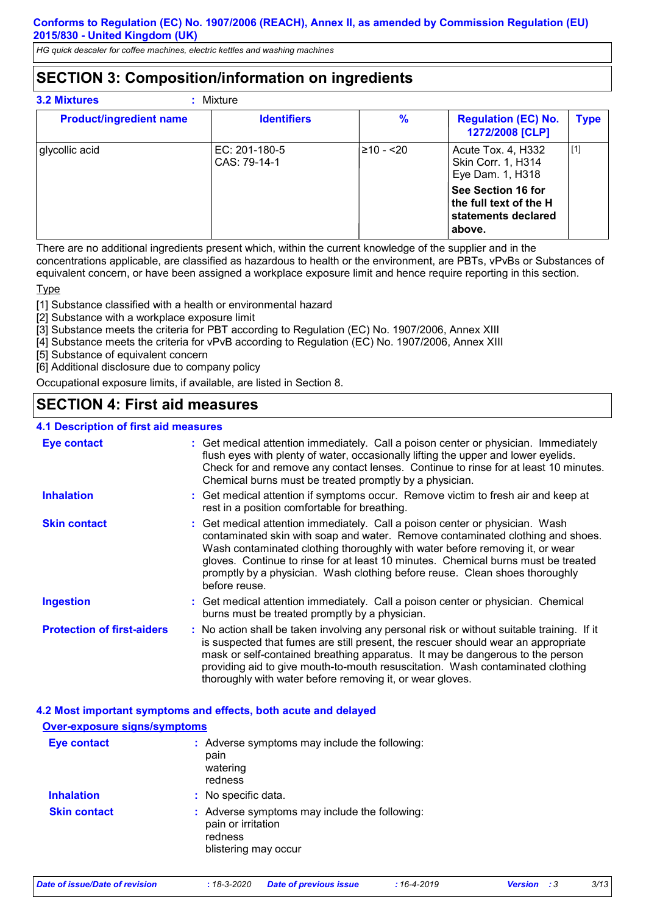*HG quick descaler for coffee machines, electric kettles and washing machines*

## **SECTION 3: Composition/information on ingredients**

| <b>3.2 Mixtures</b><br>Mixture |                                 |            |                                                                               |             |
|--------------------------------|---------------------------------|------------|-------------------------------------------------------------------------------|-------------|
| <b>Product/ingredient name</b> | <b>Identifiers</b>              | $\%$       | <b>Regulation (EC) No.</b><br>1272/2008 [CLP]                                 | <b>Type</b> |
| glycollic acid                 | $EC: 201-180-5$<br>CAS: 79-14-1 | $≥10 - 20$ | Acute Tox. 4, H332<br>Skin Corr. 1, H314<br>Eye Dam. 1, H318                  | [1]         |
|                                |                                 |            | See Section 16 for<br>the full text of the H<br>statements declared<br>above. |             |

There are no additional ingredients present which, within the current knowledge of the supplier and in the concentrations applicable, are classified as hazardous to health or the environment, are PBTs, vPvBs or Substances of equivalent concern, or have been assigned a workplace exposure limit and hence require reporting in this section.

**Type** 

[1] Substance classified with a health or environmental hazard

[2] Substance with a workplace exposure limit

[3] Substance meets the criteria for PBT according to Regulation (EC) No. 1907/2006, Annex XIII

[4] Substance meets the criteria for vPvB according to Regulation (EC) No. 1907/2006, Annex XIII

[5] Substance of equivalent concern

[6] Additional disclosure due to company policy

Occupational exposure limits, if available, are listed in Section 8.

## **SECTION 4: First aid measures**

#### **4.1 Description of first aid measures**

| <b>Eye contact</b>                | : Get medical attention immediately. Call a poison center or physician. Immediately<br>flush eyes with plenty of water, occasionally lifting the upper and lower eyelids.<br>Check for and remove any contact lenses. Continue to rinse for at least 10 minutes.<br>Chemical burns must be treated promptly by a physician.                                                                                                         |
|-----------------------------------|-------------------------------------------------------------------------------------------------------------------------------------------------------------------------------------------------------------------------------------------------------------------------------------------------------------------------------------------------------------------------------------------------------------------------------------|
| <b>Inhalation</b>                 | : Get medical attention if symptoms occur. Remove victim to fresh air and keep at<br>rest in a position comfortable for breathing.                                                                                                                                                                                                                                                                                                  |
| <b>Skin contact</b>               | : Get medical attention immediately. Call a poison center or physician. Wash<br>contaminated skin with soap and water. Remove contaminated clothing and shoes.<br>Wash contaminated clothing thoroughly with water before removing it, or wear<br>gloves. Continue to rinse for at least 10 minutes. Chemical burns must be treated<br>promptly by a physician. Wash clothing before reuse. Clean shoes thoroughly<br>before reuse. |
| <b>Ingestion</b>                  | : Get medical attention immediately. Call a poison center or physician. Chemical<br>burns must be treated promptly by a physician.                                                                                                                                                                                                                                                                                                  |
| <b>Protection of first-aiders</b> | : No action shall be taken involving any personal risk or without suitable training. If it<br>is suspected that fumes are still present, the rescuer should wear an appropriate<br>mask or self-contained breathing apparatus. It may be dangerous to the person<br>providing aid to give mouth-to-mouth resuscitation. Wash contaminated clothing<br>thoroughly with water before removing it, or wear gloves.                     |

#### **4.2 Most important symptoms and effects, both acute and delayed**

## **Over-exposure signs/symptoms**

| <b>Eye contact</b>  | : Adverse symptoms may include the following:<br>pain<br>watering<br>redness                           |
|---------------------|--------------------------------------------------------------------------------------------------------|
| <b>Inhalation</b>   | : No specific data.                                                                                    |
| <b>Skin contact</b> | : Adverse symptoms may include the following:<br>pain or irritation<br>redness<br>blistering may occur |

|  | Date of issue/Date of revision |
|--|--------------------------------|
|  |                                |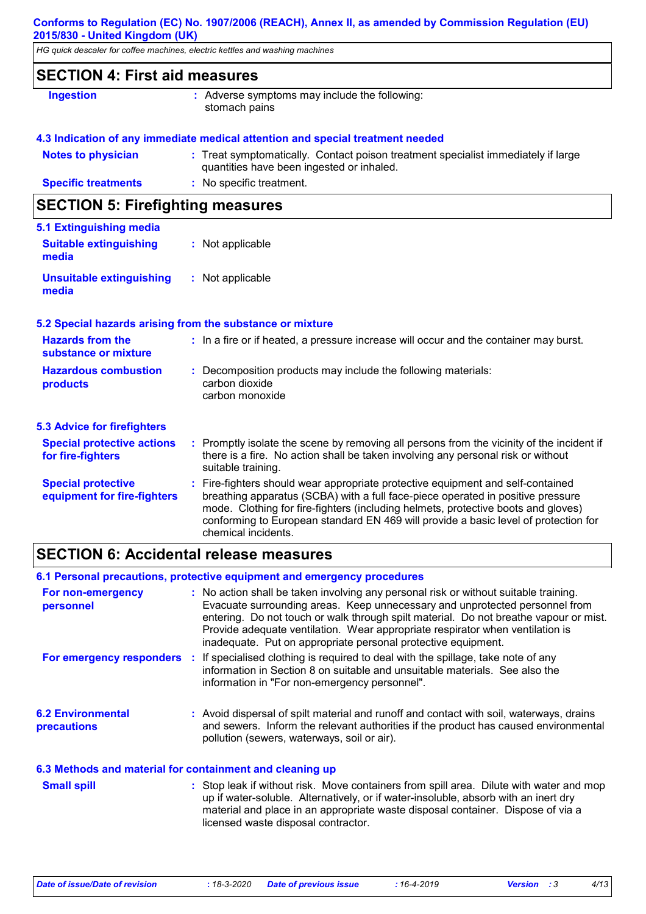*HG quick descaler for coffee machines, electric kettles and washing machines*

|                                                          | HG quick descaler for coffee machines, electric kettles and washing machines                                                                                                                                                                                                                                                                                          |
|----------------------------------------------------------|-----------------------------------------------------------------------------------------------------------------------------------------------------------------------------------------------------------------------------------------------------------------------------------------------------------------------------------------------------------------------|
| <b>SECTION 4: First aid measures</b>                     |                                                                                                                                                                                                                                                                                                                                                                       |
| Ingestion                                                | : Adverse symptoms may include the following:<br>stomach pains                                                                                                                                                                                                                                                                                                        |
|                                                          | 4.3 Indication of any immediate medical attention and special treatment needed                                                                                                                                                                                                                                                                                        |
| <b>Notes to physician</b>                                | : Treat symptomatically. Contact poison treatment specialist immediately if large<br>quantities have been ingested or inhaled.                                                                                                                                                                                                                                        |
| <b>Specific treatments</b>                               | : No specific treatment.                                                                                                                                                                                                                                                                                                                                              |
| <b>SECTION 5: Firefighting measures</b>                  |                                                                                                                                                                                                                                                                                                                                                                       |
| 5.1 Extinguishing media                                  |                                                                                                                                                                                                                                                                                                                                                                       |
| <b>Suitable extinguishing</b><br>media                   | : Not applicable                                                                                                                                                                                                                                                                                                                                                      |
| <b>Unsuitable extinguishing</b><br>media                 | : Not applicable                                                                                                                                                                                                                                                                                                                                                      |
|                                                          | 5.2 Special hazards arising from the substance or mixture                                                                                                                                                                                                                                                                                                             |
| <b>Hazards from the</b><br>substance or mixture          | : In a fire or if heated, a pressure increase will occur and the container may burst.                                                                                                                                                                                                                                                                                 |
| <b>Hazardous combustion</b><br>products                  | : Decomposition products may include the following materials:<br>carbon dioxide<br>carbon monoxide                                                                                                                                                                                                                                                                    |
| <b>5.3 Advice for firefighters</b>                       |                                                                                                                                                                                                                                                                                                                                                                       |
| <b>Special protective actions</b><br>for fire-fighters   | : Promptly isolate the scene by removing all persons from the vicinity of the incident if<br>there is a fire. No action shall be taken involving any personal risk or without<br>suitable training.                                                                                                                                                                   |
| <b>Special protective</b><br>equipment for fire-fighters | : Fire-fighters should wear appropriate protective equipment and self-contained<br>breathing apparatus (SCBA) with a full face-piece operated in positive pressure<br>mode. Clothing for fire-fighters (including helmets, protective boots and gloves)<br>conforming to European standard EN 469 will provide a basic level of protection for<br>chemical incidents. |

## **SECTION 6: Accidental release measures**

|                                                          | 6.1 Personal precautions, protective equipment and emergency procedures                                                                                                                                                                                                                                                                                                                                        |
|----------------------------------------------------------|----------------------------------------------------------------------------------------------------------------------------------------------------------------------------------------------------------------------------------------------------------------------------------------------------------------------------------------------------------------------------------------------------------------|
| For non-emergency<br>personnel                           | : No action shall be taken involving any personal risk or without suitable training.<br>Evacuate surrounding areas. Keep unnecessary and unprotected personnel from<br>entering. Do not touch or walk through spilt material. Do not breathe vapour or mist.<br>Provide adequate ventilation. Wear appropriate respirator when ventilation is<br>inadequate. Put on appropriate personal protective equipment. |
| For emergency responders                                 | : If specialised clothing is required to deal with the spillage, take note of any<br>information in Section 8 on suitable and unsuitable materials. See also the<br>information in "For non-emergency personnel".                                                                                                                                                                                              |
| <b>6.2 Environmental</b><br><b>precautions</b>           | : Avoid dispersal of spilt material and runoff and contact with soil, waterways, drains<br>and sewers. Inform the relevant authorities if the product has caused environmental<br>pollution (sewers, waterways, soil or air).                                                                                                                                                                                  |
| 6.3 Methods and material for containment and cleaning up |                                                                                                                                                                                                                                                                                                                                                                                                                |
| <b>Small spill</b>                                       | : Stop leak if without risk. Move containers from spill area. Dilute with water and mop<br>up if water-soluble. Alternatively, or if water-insoluble, absorb with an inert dry<br>material and place in an appropriate waste disposal container. Dispose of via a                                                                                                                                              |

licensed waste disposal contractor.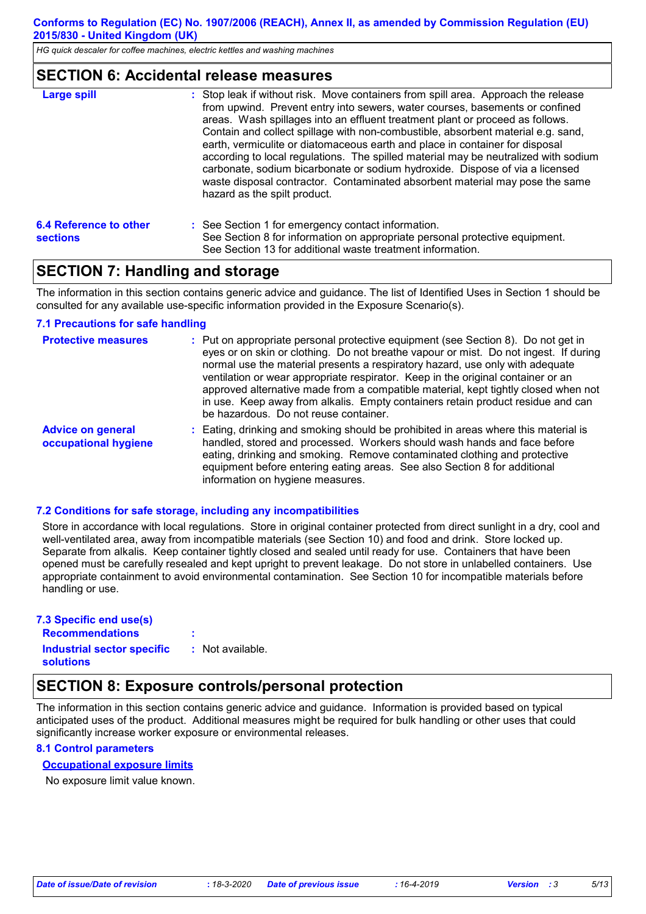*HG quick descaler for coffee machines, electric kettles and washing machines*

#### **SECTION 6: Accidental release measures**

| <b>Large spill</b>                        | : Stop leak if without risk. Move containers from spill area. Approach the release<br>from upwind. Prevent entry into sewers, water courses, basements or confined<br>areas. Wash spillages into an effluent treatment plant or proceed as follows.<br>Contain and collect spillage with non-combustible, absorbent material e.g. sand,<br>earth, vermiculite or diatomaceous earth and place in container for disposal<br>according to local regulations. The spilled material may be neutralized with sodium<br>carbonate, sodium bicarbonate or sodium hydroxide. Dispose of via a licensed<br>waste disposal contractor. Contaminated absorbent material may pose the same<br>hazard as the spilt product. |  |  |
|-------------------------------------------|----------------------------------------------------------------------------------------------------------------------------------------------------------------------------------------------------------------------------------------------------------------------------------------------------------------------------------------------------------------------------------------------------------------------------------------------------------------------------------------------------------------------------------------------------------------------------------------------------------------------------------------------------------------------------------------------------------------|--|--|
| 6.4 Reference to other<br><b>sections</b> | : See Section 1 for emergency contact information.<br>See Section 8 for information on appropriate personal protective equipment.<br>See Section 13 for additional waste treatment information.                                                                                                                                                                                                                                                                                                                                                                                                                                                                                                                |  |  |

## **SECTION 7: Handling and storage**

The information in this section contains generic advice and guidance. The list of Identified Uses in Section 1 should be consulted for any available use-specific information provided in the Exposure Scenario(s).

#### **7.1 Precautions for safe handling**

| <b>Protective measures</b>                       | : Put on appropriate personal protective equipment (see Section 8). Do not get in<br>eyes or on skin or clothing. Do not breathe vapour or mist. Do not ingest. If during<br>normal use the material presents a respiratory hazard, use only with adequate<br>ventilation or wear appropriate respirator. Keep in the original container or an<br>approved alternative made from a compatible material, kept tightly closed when not<br>in use. Keep away from alkalis. Empty containers retain product residue and can<br>be hazardous. Do not reuse container. |
|--------------------------------------------------|------------------------------------------------------------------------------------------------------------------------------------------------------------------------------------------------------------------------------------------------------------------------------------------------------------------------------------------------------------------------------------------------------------------------------------------------------------------------------------------------------------------------------------------------------------------|
| <b>Advice on general</b><br>occupational hygiene | : Eating, drinking and smoking should be prohibited in areas where this material is<br>handled, stored and processed. Workers should wash hands and face before<br>eating, drinking and smoking. Remove contaminated clothing and protective<br>equipment before entering eating areas. See also Section 8 for additional<br>information on hygiene measures.                                                                                                                                                                                                    |

#### **7.2 Conditions for safe storage, including any incompatibilities**

Store in accordance with local regulations. Store in original container protected from direct sunlight in a dry, cool and well-ventilated area, away from incompatible materials (see Section 10) and food and drink. Store locked up. Separate from alkalis. Keep container tightly closed and sealed until ready for use. Containers that have been opened must be carefully resealed and kept upright to prevent leakage. Do not store in unlabelled containers. Use appropriate containment to avoid environmental contamination. See Section 10 for incompatible materials before handling or use.

| 7.3 Specific end use(s)                        |                  |
|------------------------------------------------|------------------|
| <b>Recommendations</b>                         | ٠                |
| Industrial sector specific<br><b>solutions</b> | : Not available. |

## **SECTION 8: Exposure controls/personal protection**

The information in this section contains generic advice and guidance. Information is provided based on typical anticipated uses of the product. Additional measures might be required for bulk handling or other uses that could significantly increase worker exposure or environmental releases.

#### **8.1 Control parameters**

#### **Occupational exposure limits**

No exposure limit value known.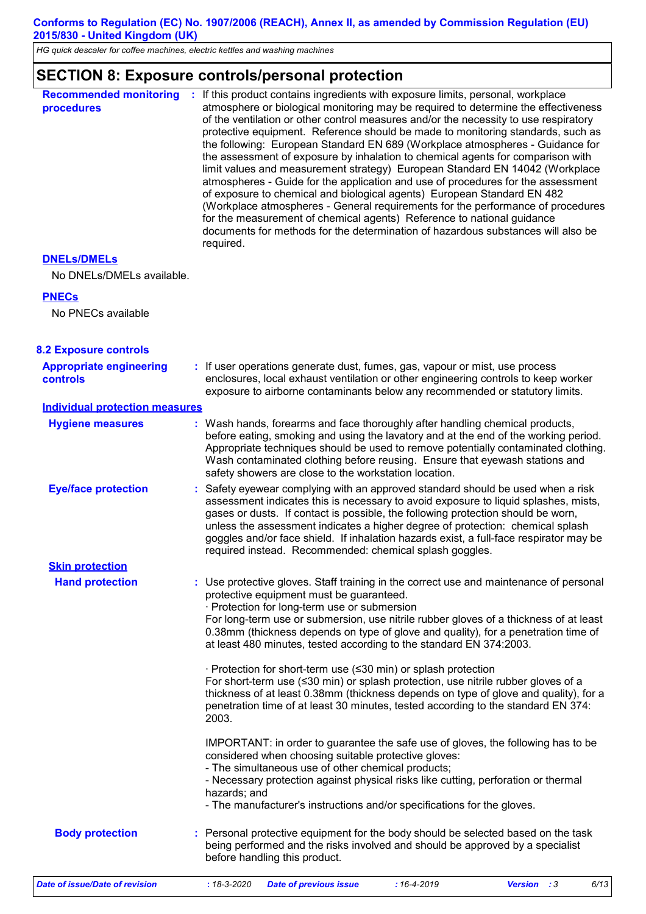*HG quick descaler for coffee machines, electric kettles and washing machines*

#### **SECTION 8: Exposure controls/personal protection**

| <b>Recommended monitoring</b><br>procedures       | If this product contains ingredients with exposure limits, personal, workplace<br>atmosphere or biological monitoring may be required to determine the effectiveness<br>of the ventilation or other control measures and/or the necessity to use respiratory<br>protective equipment. Reference should be made to monitoring standards, such as<br>the following: European Standard EN 689 (Workplace atmospheres - Guidance for<br>the assessment of exposure by inhalation to chemical agents for comparison with<br>limit values and measurement strategy) European Standard EN 14042 (Workplace<br>atmospheres - Guide for the application and use of procedures for the assessment<br>of exposure to chemical and biological agents) European Standard EN 482<br>(Workplace atmospheres - General requirements for the performance of procedures<br>for the measurement of chemical agents) Reference to national guidance<br>documents for methods for the determination of hazardous substances will also be<br>required. |
|---------------------------------------------------|----------------------------------------------------------------------------------------------------------------------------------------------------------------------------------------------------------------------------------------------------------------------------------------------------------------------------------------------------------------------------------------------------------------------------------------------------------------------------------------------------------------------------------------------------------------------------------------------------------------------------------------------------------------------------------------------------------------------------------------------------------------------------------------------------------------------------------------------------------------------------------------------------------------------------------------------------------------------------------------------------------------------------------|
| <b>DNELS/DMELS</b>                                |                                                                                                                                                                                                                                                                                                                                                                                                                                                                                                                                                                                                                                                                                                                                                                                                                                                                                                                                                                                                                                  |
| No DNELs/DMELs available.                         |                                                                                                                                                                                                                                                                                                                                                                                                                                                                                                                                                                                                                                                                                                                                                                                                                                                                                                                                                                                                                                  |
| <b>PNECs</b>                                      |                                                                                                                                                                                                                                                                                                                                                                                                                                                                                                                                                                                                                                                                                                                                                                                                                                                                                                                                                                                                                                  |
| No PNECs available                                |                                                                                                                                                                                                                                                                                                                                                                                                                                                                                                                                                                                                                                                                                                                                                                                                                                                                                                                                                                                                                                  |
| <b>8.2 Exposure controls</b>                      |                                                                                                                                                                                                                                                                                                                                                                                                                                                                                                                                                                                                                                                                                                                                                                                                                                                                                                                                                                                                                                  |
| <b>Appropriate engineering</b><br><b>controls</b> | : If user operations generate dust, fumes, gas, vapour or mist, use process<br>enclosures, local exhaust ventilation or other engineering controls to keep worker<br>exposure to airborne contaminants below any recommended or statutory limits.                                                                                                                                                                                                                                                                                                                                                                                                                                                                                                                                                                                                                                                                                                                                                                                |
| <b>Individual protection measures</b>             |                                                                                                                                                                                                                                                                                                                                                                                                                                                                                                                                                                                                                                                                                                                                                                                                                                                                                                                                                                                                                                  |
| <b>Hygiene measures</b>                           | : Wash hands, forearms and face thoroughly after handling chemical products,<br>before eating, smoking and using the lavatory and at the end of the working period.<br>Appropriate techniques should be used to remove potentially contaminated clothing.<br>Wash contaminated clothing before reusing. Ensure that eyewash stations and<br>safety showers are close to the workstation location.                                                                                                                                                                                                                                                                                                                                                                                                                                                                                                                                                                                                                                |
| <b>Eye/face protection</b>                        | : Safety eyewear complying with an approved standard should be used when a risk<br>assessment indicates this is necessary to avoid exposure to liquid splashes, mists,<br>gases or dusts. If contact is possible, the following protection should be worn,<br>unless the assessment indicates a higher degree of protection: chemical splash<br>goggles and/or face shield. If inhalation hazards exist, a full-face respirator may be<br>required instead. Recommended: chemical splash goggles.                                                                                                                                                                                                                                                                                                                                                                                                                                                                                                                                |
| <b>Skin protection</b>                            |                                                                                                                                                                                                                                                                                                                                                                                                                                                                                                                                                                                                                                                                                                                                                                                                                                                                                                                                                                                                                                  |
| <b>Hand protection</b>                            | : Use protective gloves. Staff training in the correct use and maintenance of personal<br>protective equipment must be guaranteed.<br>· Protection for long-term use or submersion<br>For long-term use or submersion, use nitrile rubber gloves of a thickness of at least<br>0.38mm (thickness depends on type of glove and quality), for a penetration time of<br>at least 480 minutes, tested according to the standard EN 374:2003.                                                                                                                                                                                                                                                                                                                                                                                                                                                                                                                                                                                         |
|                                                   | · Protection for short-term use (≤30 min) or splash protection<br>For short-term use (≤30 min) or splash protection, use nitrile rubber gloves of a<br>thickness of at least 0.38mm (thickness depends on type of glove and quality), for a<br>penetration time of at least 30 minutes, tested according to the standard EN 374:<br>2003.                                                                                                                                                                                                                                                                                                                                                                                                                                                                                                                                                                                                                                                                                        |
|                                                   | IMPORTANT: in order to guarantee the safe use of gloves, the following has to be<br>considered when choosing suitable protective gloves:<br>- The simultaneous use of other chemical products;<br>- Necessary protection against physical risks like cutting, perforation or thermal<br>hazards; and<br>- The manufacturer's instructions and/or specifications for the gloves.                                                                                                                                                                                                                                                                                                                                                                                                                                                                                                                                                                                                                                                  |
| <b>Body protection</b>                            | : Personal protective equipment for the body should be selected based on the task<br>being performed and the risks involved and should be approved by a specialist<br>before handling this product.                                                                                                                                                                                                                                                                                                                                                                                                                                                                                                                                                                                                                                                                                                                                                                                                                              |
| <b>Date of issue/Date of revision</b>             | $: 18 - 3 - 2020$<br>$:16 - 4 - 2019$<br>6/13<br><b>Date of previous issue</b><br>Version : 3                                                                                                                                                                                                                                                                                                                                                                                                                                                                                                                                                                                                                                                                                                                                                                                                                                                                                                                                    |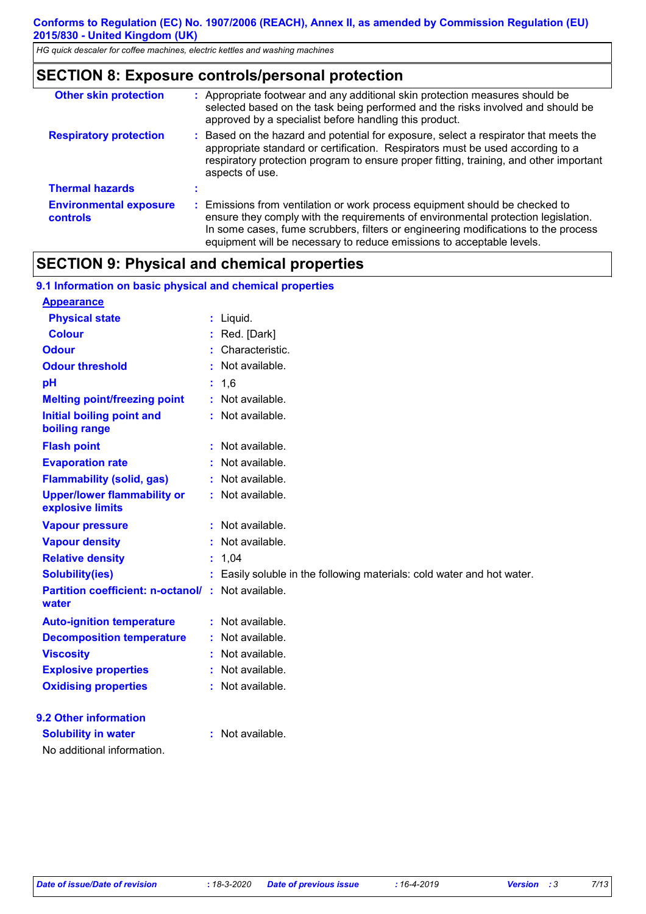*HG quick descaler for coffee machines, electric kettles and washing machines*

## **SECTION 8: Exposure controls/personal protection**

| <b>Other skin protection</b>                     | : Appropriate footwear and any additional skin protection measures should be<br>selected based on the task being performed and the risks involved and should be<br>approved by a specialist before handling this product.                                                                                                       |
|--------------------------------------------------|---------------------------------------------------------------------------------------------------------------------------------------------------------------------------------------------------------------------------------------------------------------------------------------------------------------------------------|
| <b>Respiratory protection</b>                    | : Based on the hazard and potential for exposure, select a respirator that meets the<br>appropriate standard or certification. Respirators must be used according to a<br>respiratory protection program to ensure proper fitting, training, and other important<br>aspects of use.                                             |
| <b>Thermal hazards</b>                           |                                                                                                                                                                                                                                                                                                                                 |
| <b>Environmental exposure</b><br><b>controls</b> | : Emissions from ventilation or work process equipment should be checked to<br>ensure they comply with the requirements of environmental protection legislation.<br>In some cases, fume scrubbers, filters or engineering modifications to the process<br>equipment will be necessary to reduce emissions to acceptable levels. |

## **SECTION 9: Physical and chemical properties**

| 9.1 Information on basic physical and chemical properties |    |                                                                      |
|-----------------------------------------------------------|----|----------------------------------------------------------------------|
| <b>Appearance</b>                                         |    |                                                                      |
| <b>Physical state</b>                                     |    | : Liquid.                                                            |
| <b>Colour</b>                                             |    | Red. [Dark]                                                          |
| <b>Odour</b>                                              |    | Characteristic.                                                      |
| <b>Odour threshold</b>                                    |    | Not available.                                                       |
| pH                                                        |    | 1,6                                                                  |
| <b>Melting point/freezing point</b>                       |    | : Not available.                                                     |
| <b>Initial boiling point and</b><br>boiling range         |    | : Not available.                                                     |
| <b>Flash point</b>                                        |    | Not available.                                                       |
| <b>Evaporation rate</b>                                   |    | Not available.                                                       |
| <b>Flammability (solid, gas)</b>                          |    | Not available.                                                       |
| <b>Upper/lower flammability or</b><br>explosive limits    |    | : Not available.                                                     |
| <b>Vapour pressure</b>                                    |    | : Not available.                                                     |
| <b>Vapour density</b>                                     |    | Not available.                                                       |
| <b>Relative density</b>                                   | ÷. | 1,04                                                                 |
| <b>Solubility(ies)</b>                                    |    | Easily soluble in the following materials: cold water and hot water. |
| <b>Partition coefficient: n-octanol/:</b><br>water        |    | Not available.                                                       |
| <b>Auto-ignition temperature</b>                          |    | Not available.                                                       |
| <b>Decomposition temperature</b>                          |    | Not available.                                                       |
| <b>Viscosity</b>                                          |    | Not available.                                                       |
| <b>Explosive properties</b>                               |    | Not available.                                                       |
| <b>Oxidising properties</b>                               |    | Not available.                                                       |
| 9.2 Other information                                     |    |                                                                      |
| <b>Solubility in water</b>                                |    | : Not available.                                                     |
| No additional information.                                |    |                                                                      |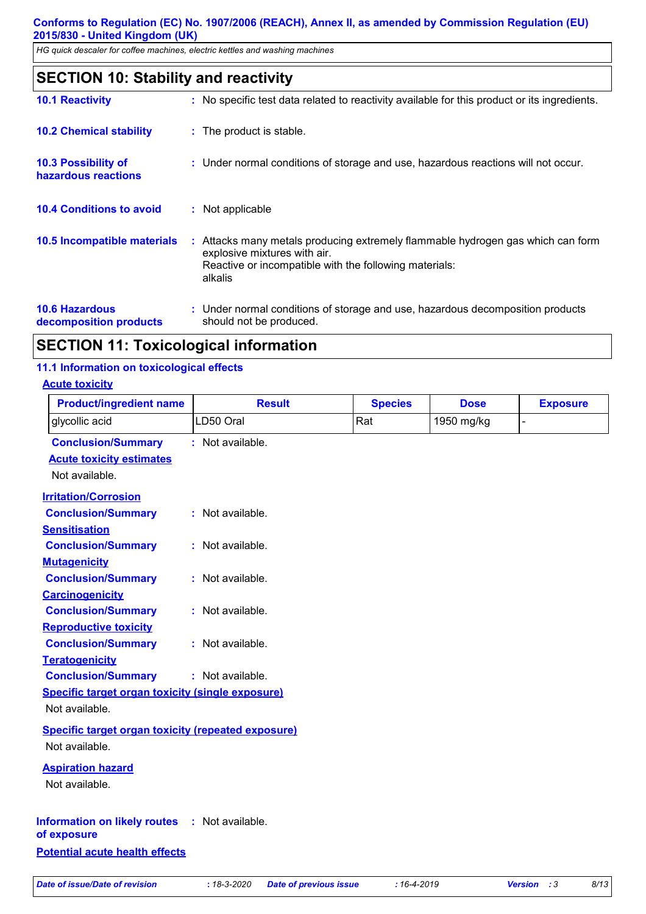*HG quick descaler for coffee machines, electric kettles and washing machines*

| <b>SECTION 10: Stability and reactivity</b>       |                                                                                                                                                                                      |  |
|---------------------------------------------------|--------------------------------------------------------------------------------------------------------------------------------------------------------------------------------------|--|
| <b>10.1 Reactivity</b>                            | : No specific test data related to reactivity available for this product or its ingredients.                                                                                         |  |
| <b>10.2 Chemical stability</b>                    | : The product is stable.                                                                                                                                                             |  |
| <b>10.3 Possibility of</b><br>hazardous reactions | : Under normal conditions of storage and use, hazardous reactions will not occur.                                                                                                    |  |
| <b>10.4 Conditions to avoid</b>                   | : Not applicable                                                                                                                                                                     |  |
| 10.5 Incompatible materials                       | : Attacks many metals producing extremely flammable hydrogen gas which can form<br>explosive mixtures with air.<br>Reactive or incompatible with the following materials:<br>alkalis |  |
|                                                   |                                                                                                                                                                                      |  |

**10.6 Hazardous decomposition products :** Under normal conditions of storage and use, hazardous decomposition products should not be produced.

## **SECTION 11: Toxicological information**

#### **11.1 Information on toxicological effects**

#### **Acute toxicity**

| <b>Product/ingredient name</b>                            | <b>Result</b>    | <b>Species</b> | <b>Dose</b> | <b>Exposure</b> |
|-----------------------------------------------------------|------------------|----------------|-------------|-----------------|
| glycollic acid                                            | LD50 Oral        | Rat            | 1950 mg/kg  | L,              |
| <b>Conclusion/Summary</b>                                 | : Not available. |                |             |                 |
| <b>Acute toxicity estimates</b>                           |                  |                |             |                 |
| Not available.                                            |                  |                |             |                 |
| <b>Irritation/Corrosion</b>                               |                  |                |             |                 |
| <b>Conclusion/Summary</b>                                 | : Not available. |                |             |                 |
| <b>Sensitisation</b>                                      |                  |                |             |                 |
| <b>Conclusion/Summary</b>                                 | : Not available. |                |             |                 |
| <b>Mutagenicity</b>                                       |                  |                |             |                 |
| <b>Conclusion/Summary</b>                                 | : Not available. |                |             |                 |
| <b>Carcinogenicity</b>                                    |                  |                |             |                 |
| <b>Conclusion/Summary</b>                                 | : Not available. |                |             |                 |
| <b>Reproductive toxicity</b>                              |                  |                |             |                 |
| <b>Conclusion/Summary</b>                                 | : Not available. |                |             |                 |
| <b>Teratogenicity</b>                                     |                  |                |             |                 |
| <b>Conclusion/Summary</b>                                 | : Not available. |                |             |                 |
| <b>Specific target organ toxicity (single exposure)</b>   |                  |                |             |                 |
| Not available.                                            |                  |                |             |                 |
| <b>Specific target organ toxicity (repeated exposure)</b> |                  |                |             |                 |
| Not available.                                            |                  |                |             |                 |
| <b>Aspiration hazard</b>                                  |                  |                |             |                 |
| Not available.                                            |                  |                |             |                 |
|                                                           |                  |                |             |                 |
| Information on likely routes : Not available.             |                  |                |             |                 |
| of exposure                                               |                  |                |             |                 |
| <b>Potential acute health effects</b>                     |                  |                |             |                 |
|                                                           |                  |                |             |                 |

*Date of issue/Date of revision* **:** *18-3-2020 Date of previous issue : 16-4-2019 Version : 3 8/13*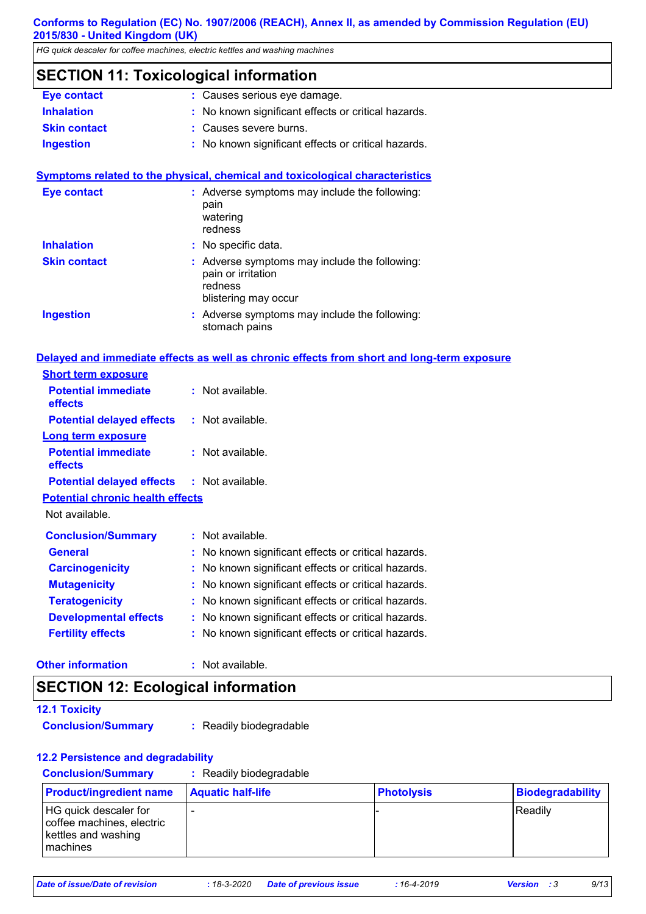*HG quick descaler for coffee machines, electric kettles and washing machines*

## **SECTION 11: Toxicological information**

| <b>Eye contact</b>  | : Causes serious eye damage.                        |
|---------------------|-----------------------------------------------------|
| <b>Inhalation</b>   | : No known significant effects or critical hazards. |
| <b>Skin contact</b> | : Causes severe burns.                              |
| <b>Ingestion</b>    | : No known significant effects or critical hazards. |

#### **Symptoms related to the physical, chemical and toxicological characteristics**

| <b>Eye contact</b>  | : Adverse symptoms may include the following:<br>pain<br>watering<br>redness                           |
|---------------------|--------------------------------------------------------------------------------------------------------|
| <b>Inhalation</b>   | : No specific data.                                                                                    |
| <b>Skin contact</b> | : Adverse symptoms may include the following:<br>pain or irritation<br>redness<br>blistering may occur |
| <b>Ingestion</b>    | : Adverse symptoms may include the following:<br>stomach pains                                         |

#### **Delayed and immediate effects as well as chronic effects from short and long-term exposure**

| <b>Short term exposure</b>                        |                                                   |
|---------------------------------------------------|---------------------------------------------------|
| <b>Potential immediate</b><br>effects             | $:$ Not available.                                |
| <b>Potential delayed effects</b>                  | $:$ Not available.                                |
| <b>Long term exposure</b>                         |                                                   |
| <b>Potential immediate</b><br>effects             | $:$ Not available.                                |
| <b>Potential delayed effects : Not available.</b> |                                                   |
| <b>Potential chronic health effects</b>           |                                                   |
| Not available.                                    |                                                   |
| <b>Conclusion/Summary</b>                         | $:$ Not available.                                |
| <b>General</b>                                    | No known significant effects or critical hazards. |
| <b>Carcinogenicity</b>                            | No known significant effects or critical hazards. |
| <b>Mutagenicity</b>                               | No known significant effects or critical hazards. |
| <b>Teratogenicity</b>                             | No known significant effects or critical hazards. |
| <b>Developmental effects</b>                      | No known significant effects or critical hazards. |
| <b>Fertility effects</b>                          | No known significant effects or critical hazards. |

#### **Other information :**

: Not available.

## **SECTION 12: Ecological information**

| <b>12.1 Toxicity</b> |  |  |  |
|----------------------|--|--|--|
|                      |  |  |  |

**Conclusion/Summary :** Readily biodegradable

#### **12.2 Persistence and degradability**

| <b>Conclusion/Summary</b> | Readily biodegradable |
|---------------------------|-----------------------|
|---------------------------|-----------------------|

| <b>Product/ingredient name</b>                                                          | <b>Aquatic half-life</b> | <b>Photolysis</b> | Biodegradability |
|-----------------------------------------------------------------------------------------|--------------------------|-------------------|------------------|
| HG quick descaler for<br>coffee machines, electric<br>kettles and washing<br>l machines |                          |                   | Readily          |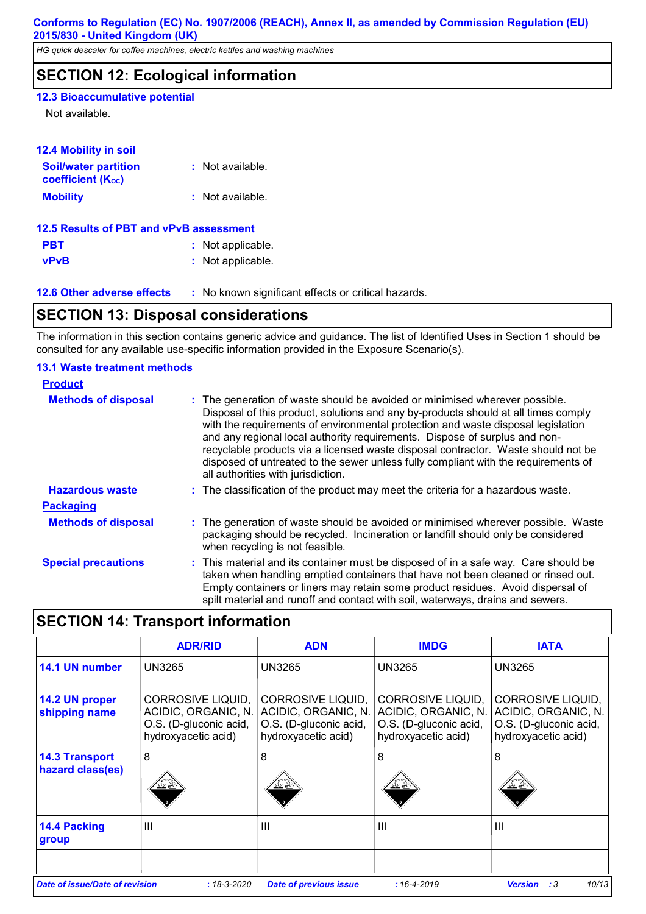*HG quick descaler for coffee machines, electric kettles and washing machines*

## **SECTION 12: Ecological information**

#### **12.3 Bioaccumulative potential**

Not available.

| <b>12.4 Mobility in soil</b>                            |                    |
|---------------------------------------------------------|--------------------|
| <b>Soil/water partition</b><br><b>coefficient (Koc)</b> | : Not available.   |
| <b>Mobility</b>                                         | $:$ Not available. |
| 12.5 Results of PBT and vPvB assessment                 |                    |
| PBT                                                     | : Not applicable.  |

**vPvB :** Not applicable.

**12.6 Other adverse effects** : No known significant effects or critical hazards.

## **SECTION 13: Disposal considerations**

The information in this section contains generic advice and guidance. The list of Identified Uses in Section 1 should be consulted for any available use-specific information provided in the Exposure Scenario(s).

#### **13.1 Waste treatment methods**

| <b>Product</b>             |                                                                                                                                                                                                                                                                                                                                                                                                                                                                                                                                                      |
|----------------------------|------------------------------------------------------------------------------------------------------------------------------------------------------------------------------------------------------------------------------------------------------------------------------------------------------------------------------------------------------------------------------------------------------------------------------------------------------------------------------------------------------------------------------------------------------|
| <b>Methods of disposal</b> | : The generation of waste should be avoided or minimised wherever possible.<br>Disposal of this product, solutions and any by-products should at all times comply<br>with the requirements of environmental protection and waste disposal legislation<br>and any regional local authority requirements. Dispose of surplus and non-<br>recyclable products via a licensed waste disposal contractor. Waste should not be<br>disposed of untreated to the sewer unless fully compliant with the requirements of<br>all authorities with jurisdiction. |
| <b>Hazardous waste</b>     | : The classification of the product may meet the criteria for a hazardous waste.                                                                                                                                                                                                                                                                                                                                                                                                                                                                     |
| <b>Packaging</b>           |                                                                                                                                                                                                                                                                                                                                                                                                                                                                                                                                                      |
| <b>Methods of disposal</b> | : The generation of waste should be avoided or minimised wherever possible. Waste<br>packaging should be recycled. Incineration or landfill should only be considered<br>when recycling is not feasible.                                                                                                                                                                                                                                                                                                                                             |
| <b>Special precautions</b> | : This material and its container must be disposed of in a safe way. Care should be<br>taken when handling emptied containers that have not been cleaned or rinsed out.<br>Empty containers or liners may retain some product residues. Avoid dispersal of<br>spilt material and runoff and contact with soil, waterways, drains and sewers.                                                                                                                                                                                                         |

## **SECTION 14: Transport information**

|                                           | <b>ADR/RID</b>                                                                            | <b>ADN</b>                                                                | <b>IMDG</b>                                                                                                   | <b>IATA</b>                                                                               |
|-------------------------------------------|-------------------------------------------------------------------------------------------|---------------------------------------------------------------------------|---------------------------------------------------------------------------------------------------------------|-------------------------------------------------------------------------------------------|
| 14.1 UN number                            | <b>UN3265</b>                                                                             | <b>UN3265</b>                                                             | <b>UN3265</b>                                                                                                 | <b>UN3265</b>                                                                             |
| 14.2 UN proper<br>shipping name           | CORROSIVE LIQUID,<br>ACIDIC, ORGANIC, N.<br>O.S. (D-gluconic acid,<br>hydroxyacetic acid) | <b>CORROSIVE LIQUID,</b><br>O.S. (D-gluconic acid,<br>hydroxyacetic acid) | CORROSIVE LIQUID,<br>ACIDIC, ORGANIC, N. ACIDIC, ORGANIC, N.<br>O.S. (D-gluconic acid,<br>hydroxyacetic acid) | CORROSIVE LIQUID,<br>ACIDIC, ORGANIC, N.<br>O.S. (D-gluconic acid,<br>hydroxyacetic acid) |
| <b>14.3 Transport</b><br>hazard class(es) | 8                                                                                         | 8                                                                         | 8                                                                                                             | 8                                                                                         |
| 14.4 Packing<br>group                     | $\mathbf{III}$                                                                            | $\mathbf{III}$                                                            | $\mathbf{III}$                                                                                                | $\mathbf{III}$                                                                            |
| Date of issue/Date of revision            | $:18-3-2020$                                                                              | <b>Date of previous issue</b>                                             | $:16 - 4 - 2019$                                                                                              | 10/13<br>:3<br><b>Version</b>                                                             |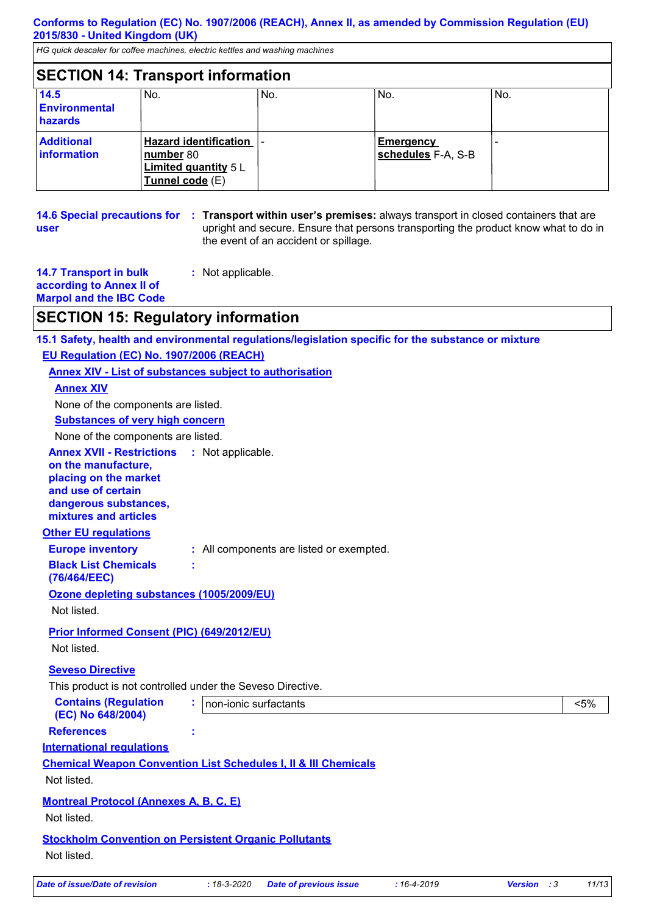*HG quick descaler for coffee machines, electric kettles and washing machines*

## **SECTION 14: Transport information**

| 14.5<br><b>Environmental</b><br>hazards | No.                                                                                           | No. | No.                                    | No. |
|-----------------------------------------|-----------------------------------------------------------------------------------------------|-----|----------------------------------------|-----|
| <b>Additional</b><br><b>Information</b> | <b>Hazard identification</b>  <br>number 80<br><b>Limited quantity 5 L</b><br>Tunnel code (E) |     | <b>Emergency</b><br>schedules F-A, S-B |     |

|      | 14.6 Special precautions for : Transport within user's premises: always transport in closed containers that are |
|------|-----------------------------------------------------------------------------------------------------------------|
| user | upright and secure. Ensure that persons transporting the product know what to do in                             |
|      | the event of an accident or spillage.                                                                           |

| <b>14.7 Transport in bulk</b>  | : Not applicable. |
|--------------------------------|-------------------|
| according to Annex II of       |                   |
| <b>Marpol and the IBC Code</b> |                   |
|                                |                   |

## **SECTION 15: Regulatory information**

| 15.1 Safety, health and environmental regulations/legislation specific for the substance or mixture                                                      |                       |                                          |                  |                    |         |
|----------------------------------------------------------------------------------------------------------------------------------------------------------|-----------------------|------------------------------------------|------------------|--------------------|---------|
| EU Regulation (EC) No. 1907/2006 (REACH)                                                                                                                 |                       |                                          |                  |                    |         |
| <b>Annex XIV - List of substances subject to authorisation</b>                                                                                           |                       |                                          |                  |                    |         |
| <b>Annex XIV</b>                                                                                                                                         |                       |                                          |                  |                    |         |
| None of the components are listed.                                                                                                                       |                       |                                          |                  |                    |         |
| <b>Substances of very high concern</b>                                                                                                                   |                       |                                          |                  |                    |         |
| None of the components are listed.                                                                                                                       |                       |                                          |                  |                    |         |
| <b>Annex XVII - Restrictions</b><br>on the manufacture,<br>placing on the market<br>and use of certain<br>dangerous substances,<br>mixtures and articles | : Not applicable.     |                                          |                  |                    |         |
| <b>Other EU requlations</b>                                                                                                                              |                       |                                          |                  |                    |         |
| <b>Europe inventory</b>                                                                                                                                  |                       | : All components are listed or exempted. |                  |                    |         |
| <b>Black List Chemicals</b><br>(76/464/EEC)                                                                                                              |                       |                                          |                  |                    |         |
| Ozone depleting substances (1005/2009/EU)<br>Not listed.                                                                                                 |                       |                                          |                  |                    |         |
| Prior Informed Consent (PIC) (649/2012/EU)<br>Not listed.                                                                                                |                       |                                          |                  |                    |         |
| <b>Seveso Directive</b>                                                                                                                                  |                       |                                          |                  |                    |         |
| This product is not controlled under the Seveso Directive.                                                                                               |                       |                                          |                  |                    |         |
| <b>Contains (Regulation</b><br>(EC) No 648/2004)                                                                                                         | non-ionic surfactants |                                          |                  |                    | $< 5\%$ |
| <b>References</b>                                                                                                                                        |                       |                                          |                  |                    |         |
| <b>International regulations</b>                                                                                                                         |                       |                                          |                  |                    |         |
| <b>Chemical Weapon Convention List Schedules I, II &amp; III Chemicals</b>                                                                               |                       |                                          |                  |                    |         |
| Not listed.                                                                                                                                              |                       |                                          |                  |                    |         |
| <b>Montreal Protocol (Annexes A, B, C, E)</b>                                                                                                            |                       |                                          |                  |                    |         |
| Not listed.                                                                                                                                              |                       |                                          |                  |                    |         |
| <b>Stockholm Convention on Persistent Organic Pollutants</b>                                                                                             |                       |                                          |                  |                    |         |
| Not listed.                                                                                                                                              |                       |                                          |                  |                    |         |
| <b>Date of issue/Date of revision</b>                                                                                                                    | $:18-3-2020$          | <b>Date of previous issue</b>            | $:16 - 4 - 2019$ | <b>Version</b> : 3 | 11/13   |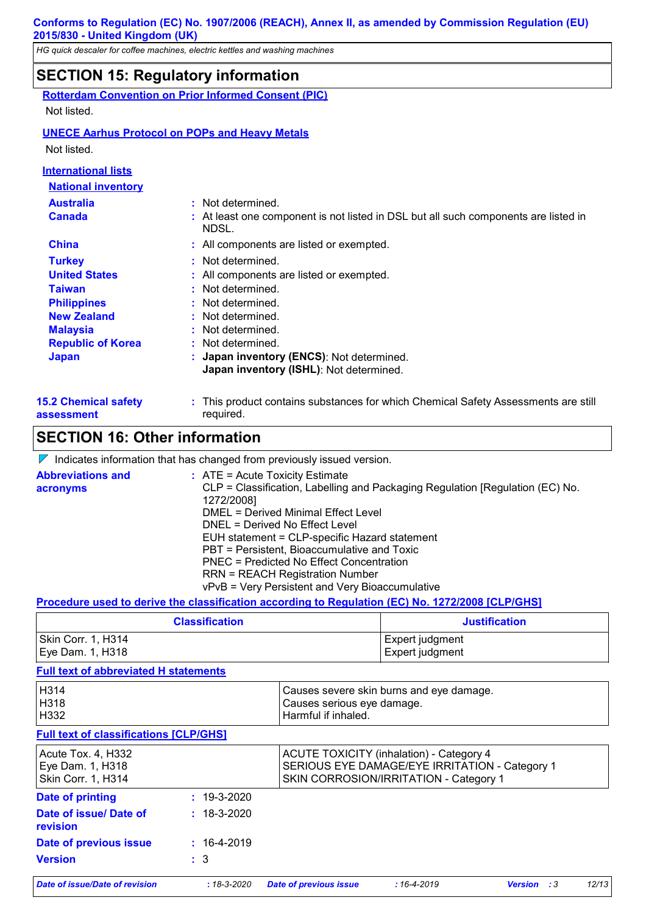*HG quick descaler for coffee machines, electric kettles and washing machines*

## **SECTION 15: Regulatory information**

|                            | <b>Rotterdam Convention on Prior Informed Consent (PIC)</b>                                  |
|----------------------------|----------------------------------------------------------------------------------------------|
| Not listed.                |                                                                                              |
|                            | <b>UNECE Aarhus Protocol on POPs and Heavy Metals</b>                                        |
| Not listed.                |                                                                                              |
| <b>International lists</b> |                                                                                              |
| <b>National inventory</b>  |                                                                                              |
| <b>Australia</b>           | : Not determined.                                                                            |
| <b>Canada</b>              | : At least one component is not listed in DSL but all such components are listed in<br>NDSL. |
| <b>China</b>               | : All components are listed or exempted.                                                     |
| <b>Turkey</b>              | : Not determined.                                                                            |
| <b>United States</b>       | : All components are listed or exempted.                                                     |
| <b>Taiwan</b>              | : Not determined.                                                                            |
| <b>Philippines</b>         | : Not determined.                                                                            |
| <b>New Zealand</b>         | : Not determined.                                                                            |

**Japan : Japan inventory (ENCS)**: Not determined. **Japan inventory (ISHL)**: Not determined. **Republic of Korea :** Not determined. **Malaysia :** Not determined.

**15.2 Chemical safety assessment** This product contains substances for which Chemical Safety Assessments are still **:** required.

## **SECTION 16: Other information**

 $\nabla$  Indicates information that has changed from previously issued version.

| <b>Abbreviations and</b> | $:$ ATE = Acute Toxicity Estimate                                             |
|--------------------------|-------------------------------------------------------------------------------|
| acronyms                 | CLP = Classification, Labelling and Packaging Regulation [Regulation (EC) No. |
|                          | 1272/2008]                                                                    |
|                          | DMEL = Derived Minimal Effect Level                                           |
|                          | DNEL = Derived No Effect Level                                                |
|                          | EUH statement = CLP-specific Hazard statement                                 |
|                          | PBT = Persistent, Bioaccumulative and Toxic                                   |
|                          | <b>PNEC = Predicted No Effect Concentration</b>                               |
|                          | <b>RRN = REACH Registration Number</b>                                        |
|                          | vPvB = Very Persistent and Very Bioaccumulative                               |

#### **Procedure used to derive the classification according to Regulation (EC) No. 1272/2008 [CLP/GHS]**

| <b>Classification</b> | <b>Justification</b> |  |
|-----------------------|----------------------|--|
| Skin Corr. 1, H314    | Expert judgment_     |  |
| Eye Dam. 1, H318      | Expert judgment      |  |

#### **Full text of abbreviated H statements**

| Date of issue/Date of revision                                      | $:18 - 3 - 2020$  | <b>Date of previous issue</b> | $:16 - 4 - 2019$                                                                                                                            | <b>Version</b> :3 | 12/13 |  |
|---------------------------------------------------------------------|-------------------|-------------------------------|---------------------------------------------------------------------------------------------------------------------------------------------|-------------------|-------|--|
| <b>Version</b>                                                      | $\therefore$ 3    |                               |                                                                                                                                             |                   |       |  |
| Date of previous issue                                              | $: 16-4-2019$     |                               |                                                                                                                                             |                   |       |  |
| Date of issue/ Date of<br>revision                                  | $: 18 - 3 - 2020$ |                               |                                                                                                                                             |                   |       |  |
| <b>Date of printing</b>                                             | $: 19 - 3 - 2020$ |                               |                                                                                                                                             |                   |       |  |
| Acute Tox. 4, H332<br>Eye Dam. 1, H318<br><b>Skin Corr. 1, H314</b> |                   |                               | <b>ACUTE TOXICITY (inhalation) - Category 4</b><br>SERIOUS EYE DAMAGE/EYE IRRITATION - Category 1<br>SKIN CORROSION/IRRITATION - Category 1 |                   |       |  |
| <b>Full text of classifications [CLP/GHS]</b>                       |                   |                               |                                                                                                                                             |                   |       |  |
| H314<br>H318<br>H332                                                |                   | Harmful if inhaled.           | Causes severe skin burns and eye damage.<br>Causes serious eye damage.                                                                      |                   |       |  |